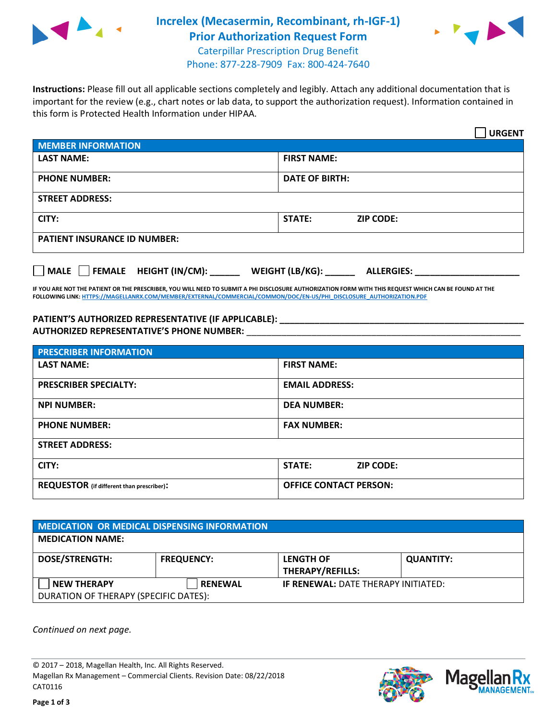

## **Increlex (Mecasermin, Recombinant, rh-IGF-1) Prior Authorization Request Form** Caterpillar Prescription Drug Benefit



Phone: 877-228-7909 Fax: 800-424-7640

**Instructions:** Please fill out all applicable sections completely and legibly. Attach any additional documentation that is important for the review (e.g., chart notes or lab data, to support the authorization request). Information contained in this form is Protected Health Information under HIPAA.

|                                                              | <b>URGENT</b>                        |  |
|--------------------------------------------------------------|--------------------------------------|--|
| <b>MEMBER INFORMATION</b>                                    |                                      |  |
| <b>LAST NAME:</b>                                            | <b>FIRST NAME:</b>                   |  |
| <b>PHONE NUMBER:</b>                                         | <b>DATE OF BIRTH:</b>                |  |
| <b>STREET ADDRESS:</b>                                       |                                      |  |
| CITY:                                                        | <b>ZIP CODE:</b><br>STATE:           |  |
| <b>PATIENT INSURANCE ID NUMBER:</b>                          |                                      |  |
| FEMALE HEIGHT (IN/CM):<br>$\blacksquare$ MALE $\blacksquare$ | WEIGHT (LB/KG):<br><b>ALLERGIES:</b> |  |

**IF YOU ARE NOT THE PATIENT OR THE PRESCRIBER, YOU WILL NEED TO SUBMIT A PHI DISCLOSURE AUTHORIZATION FORM WITH THIS REQUEST WHICH CAN BE FOUND AT THE FOLLOWING LINK[: HTTPS://MAGELLANRX.COM/MEMBER/EXTERNAL/COMMERCIAL/COMMON/DOC/EN-US/PHI\\_DISCLOSURE\\_AUTHORIZATION.PDF](https://magellanrx.com/member/external/commercial/common/doc/en-us/PHI_Disclosure_Authorization.pdf)**

**PATIENT'S AUTHORIZED REPRESENTATIVE (IF APPLICABLE): \_\_\_\_\_\_\_\_\_\_\_\_\_\_\_\_\_\_\_\_\_\_\_\_\_\_\_\_\_\_\_\_\_\_\_\_\_\_\_\_\_\_\_\_\_\_\_\_\_ AUTHORIZED REPRESENTATIVE'S PHONE NUMBER:** \_\_\_\_\_\_\_\_\_\_\_\_\_\_\_\_\_\_\_\_\_\_\_\_\_\_\_\_\_\_\_\_\_\_\_\_\_\_\_\_\_\_\_\_\_\_\_\_\_\_\_\_\_\_\_

| <b>PRESCRIBER INFORMATION</b>             |                               |  |  |
|-------------------------------------------|-------------------------------|--|--|
| <b>LAST NAME:</b>                         | <b>FIRST NAME:</b>            |  |  |
| <b>PRESCRIBER SPECIALTY:</b>              | <b>EMAIL ADDRESS:</b>         |  |  |
| <b>NPI NUMBER:</b>                        | <b>DEA NUMBER:</b>            |  |  |
| <b>PHONE NUMBER:</b>                      | <b>FAX NUMBER:</b>            |  |  |
| <b>STREET ADDRESS:</b>                    |                               |  |  |
| CITY:                                     | STATE:<br><b>ZIP CODE:</b>    |  |  |
| REQUESTOR (if different than prescriber): | <b>OFFICE CONTACT PERSON:</b> |  |  |

| <b>MEDICATION OR MEDICAL DISPENSING INFORMATION</b>         |                   |                                             |                  |  |  |
|-------------------------------------------------------------|-------------------|---------------------------------------------|------------------|--|--|
| <b>MEDICATION NAME:</b>                                     |                   |                                             |                  |  |  |
| <b>DOSE/STRENGTH:</b>                                       | <b>FREQUENCY:</b> | <b>LENGTH OF</b><br><b>THERAPY/REFILLS:</b> | <b>QUANTITY:</b> |  |  |
| <b>NEW THERAPY</b><br>DURATION OF THERAPY (SPECIFIC DATES): | <b>RENEWAL</b>    | <b>IF RENEWAL: DATE THERAPY INITIATED:</b>  |                  |  |  |

*Continued on next page.*

© 2017 – 2018, Magellan Health, Inc. All Rights Reserved. Magellan Rx Management – Commercial Clients. Revision Date: 08/22/2018 CAT0116



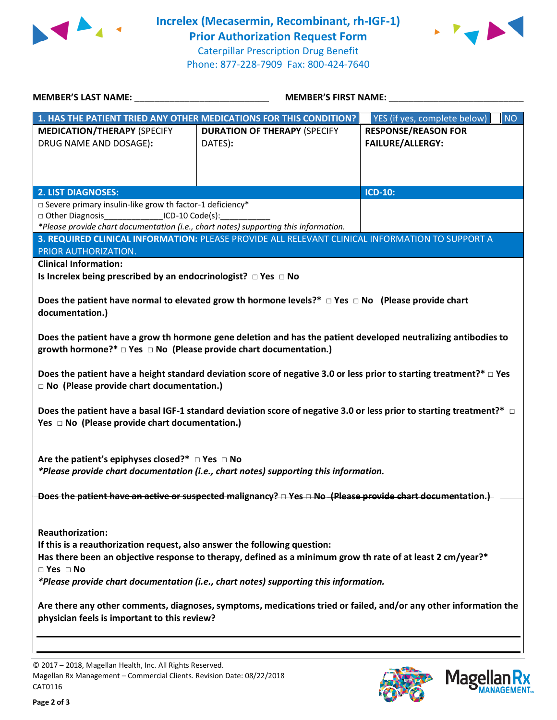

**Increlex (Mecasermin, Recombinant, rh-IGF-1) Prior Authorization Request Form** Caterpillar Prescription Drug Benefit Phone: 877-228-7909 Fax: 800-424-7640



| MEMBER'S LAST NAME:                                                                                                                                                                                                                                                                                                                                     |                                                | MEMBER'S FIRST NAME:                                  |  |  |
|---------------------------------------------------------------------------------------------------------------------------------------------------------------------------------------------------------------------------------------------------------------------------------------------------------------------------------------------------------|------------------------------------------------|-------------------------------------------------------|--|--|
| 1. HAS THE PATIENT TRIED ANY OTHER MEDICATIONS FOR THIS CONDITION?                                                                                                                                                                                                                                                                                      |                                                | <b>NO</b><br>YES (if yes, complete below)             |  |  |
| <b>MEDICATION/THERAPY (SPECIFY</b><br>DRUG NAME AND DOSAGE):                                                                                                                                                                                                                                                                                            | <b>DURATION OF THERAPY (SPECIFY</b><br>DATES): | <b>RESPONSE/REASON FOR</b><br><b>FAILURE/ALLERGY:</b> |  |  |
| <b>2. LIST DIAGNOSES:</b>                                                                                                                                                                                                                                                                                                                               |                                                | <b>ICD-10:</b>                                        |  |  |
| $\square$ Severe primary insulin-like grow th factor-1 deficiency*<br>□ Other Diagnosis_________________ICD-10 Code(s):_____________<br>*Please provide chart documentation (i.e., chart notes) supporting this information.<br>3. REQUIRED CLINICAL INFORMATION: PLEASE PROVIDE ALL RELEVANT CLINICAL INFORMATION TO SUPPORT A<br>PRIOR AUTHORIZATION. |                                                |                                                       |  |  |
| <b>Clinical Information:</b>                                                                                                                                                                                                                                                                                                                            |                                                |                                                       |  |  |
| Is Increlex being prescribed by an endocrinologist? $\Box$ Yes $\Box$ No                                                                                                                                                                                                                                                                                |                                                |                                                       |  |  |
| Does the patient have normal to elevated grow th hormone levels?* $\Box$ Yes $\Box$ No (Please provide chart<br>documentation.)                                                                                                                                                                                                                         |                                                |                                                       |  |  |
| Does the patient have a grow th hormone gene deletion and has the patient developed neutralizing antibodies to<br>growth hormone?* $\Box$ Yes $\Box$ No (Please provide chart documentation.)                                                                                                                                                           |                                                |                                                       |  |  |
| Does the patient have a height standard deviation score of negative 3.0 or less prior to starting treatment?* $\Box$ Yes<br>□ No (Please provide chart documentation.)                                                                                                                                                                                  |                                                |                                                       |  |  |
| Does the patient have a basal IGF-1 standard deviation score of negative 3.0 or less prior to starting treatment?* $\Box$<br>Yes $\Box$ No (Please provide chart documentation.)                                                                                                                                                                        |                                                |                                                       |  |  |
| Are the patient's epiphyses closed?* $\Box$ Yes $\Box$ No<br>*Please provide chart documentation (i.e., chart notes) supporting this information.                                                                                                                                                                                                       |                                                |                                                       |  |  |
| Does the patient have an active or suspected malignancy? $\Box$ Yes $\Box$ No (Please provide chart documentation.)                                                                                                                                                                                                                                     |                                                |                                                       |  |  |
| <b>Reauthorization:</b><br>If this is a reauthorization request, also answer the following question:<br>Has there been an objective response to therapy, defined as a minimum grow th rate of at least 2 cm/year?*<br>$\square$ Yes $\square$ No<br>*Please provide chart documentation (i.e., chart notes) supporting this information.                |                                                |                                                       |  |  |
| Are there any other comments, diagnoses, symptoms, medications tried or failed, and/or any other information the<br>physician feels is important to this review?                                                                                                                                                                                        |                                                |                                                       |  |  |

© 2017 – 2018, Magellan Health, Inc. All Rights Reserved. Magellan Rx Management – Commercial Clients. Revision Date: 08/22/2018 CAT0116